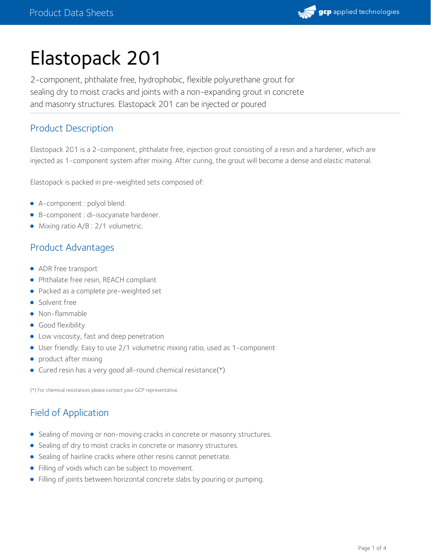

# Elastopack 201

2-component, phthalate free, hydrophobic, flexible polyurethane grout for sealing dry to moist cracks and joints with a non-expanding grout in concrete and masonry structures. Elastopack 201 can be injected or poured

# Product Description

Elastopack 201 is a 2-component, phthalate free, injection grout consisting of a resin and a hardener, which are injected as 1-component system after mixing. After curing, the grout will become a dense and elastic material.

Elastopack is packed in pre-weighted sets composed of:

- A-component : polyol blend.
- B-component : di-isocyanate hardener.
- Mixing ratio A/B : 2/1 volumetric.

## Product Advantages

- ADR free transport
- Phthalate free resin, REACH compliant
- Packed as a complete pre-weighted set
- Solvent free
- Non-flammable
- **Good flexibility**
- Low viscosity, fast and deep penetration
- User friendly: Easy to use 2/1 volumetric mixing ratio, used as 1-component
- product after mixing
- Cured resin has a very good all-round chemical resistance(\*)

(\*) For chemical resistances please contact your GCP representative.

# Field of Application

- Sealing of moving or non-moving cracks in concrete or masonry structures.
- Sealing of dry to moist cracks in concrete or masonry structures.
- Sealing of hairline cracks where other resins cannot penetrate.
- Filling of voids which can be subject to movement.
- Filling of joints between horizontal concrete slabs by pouring or pumping.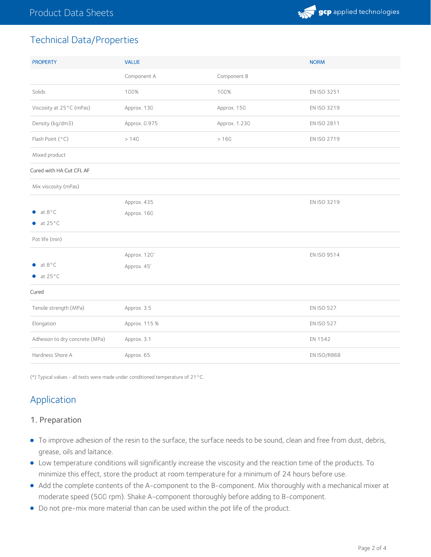

# Technical Data/Properties

| <b>PROPERTY</b>                | <b>VALUE</b>  |               | <b>NORM</b>       |
|--------------------------------|---------------|---------------|-------------------|
|                                | Component A   | Component B   |                   |
| Solids                         | 100%          | 100%          | EN ISO 3251       |
| Viscosity at 25°C (mPas)       | Approx. 130   | Approx. 150   | EN ISO 3219       |
| Density (kg/dm3)               | Approx. 0.975 | Approx. 1.230 | EN ISO 2811       |
| Flash Point (°C)               | >140          | >160          | EN ISO 2719       |
| Mixed product                  |               |               |                   |
| Cured with HA Cut CFL AF       |               |               |                   |
| Mix viscosity (mPas)           |               |               |                   |
|                                | Approx. 435   |               | EN ISO 3219       |
| at 8°C                         | Approx. 160   |               |                   |
| $\bullet$ at 25 $\degree$ C    |               |               |                   |
| Pot life (min)                 |               |               |                   |
|                                | Approx. 120'  |               | EN ISO 9514       |
| at 8°C                         | Approx. 45'   |               |                   |
| $\bullet$ at 25 $\degree$ C    |               |               |                   |
| Cured                          |               |               |                   |
| Tensile strength (MPa)         | Approx. 3.5   |               | <b>EN ISO 527</b> |
| Elongation                     | Approx. 115 % |               | <b>EN ISO 527</b> |
| Adhesion to dry concrete (MPa) | Approx. 3.1   |               | EN 1542           |
| Hardness Shore A               | Approx. 65    |               | EN ISO/R868       |

(\*) Typical values - all tests were made under conditioned temperature of 21°C.

# Application

#### 1. Preparation

- To improve adhesion of the resin to the surface, the surface needs to be sound, clean and free from dust, debris, grease, oils and laitance.
- Low temperature conditions will significantly increase the viscosity and the reaction time of the products. To minimize this effect, store the product at room temperature for a minimum of 24 hours before use.
- Add the complete contents of the A-component to the B-component. Mix thoroughly with a mechanical mixer at moderate speed (500 rpm). Shake A-component thoroughly before adding to B-component.
- Do not pre-mix more material than can be used within the pot life of the product.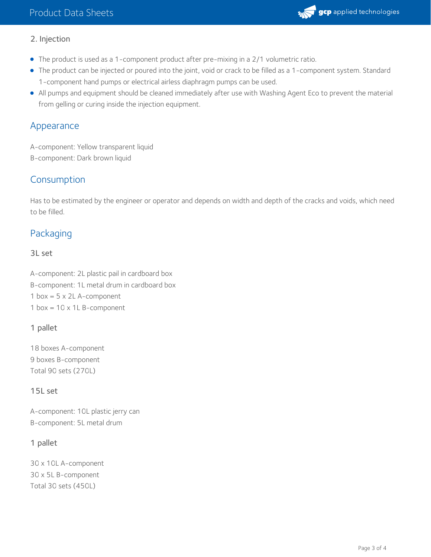

#### 2. Injection

- The product is used as a 1-component product after pre-mixing in a 2/1 volumetric ratio.
- The product can be injected or poured into the joint, void or crack to be filled as a 1-component system. Standard 1-component hand pumps or electrical airless diaphragm pumps can be used.
- All pumps and equipment should be cleaned immediately after use with Washing Agent Eco to prevent the material from gelling or curing inside the injection equipment.

## Appearance

A-component: Yellow transparent liquid B-component: Dark brown liquid

## Consumption

Has to be estimated by the engineer or operator and depends on width and depth of the cracks and voids, which need to be filled.

# Packaging

3L set

A-component: 2L plastic pail in cardboard box B-component: 1L metal drum in cardboard box 1 box =  $5 \times 2L$  A-component 1 box =  $10 \times 1$ L B-component

#### 1 pallet

18 boxes A-component 9 boxes B-component Total 90 sets (270L)

#### 15L set

A-component: 10L plastic jerry can B-component: 5L metal drum

### 1 pallet

30 x 10L A-component 30 x 5L B-component Total 30 sets (450L)